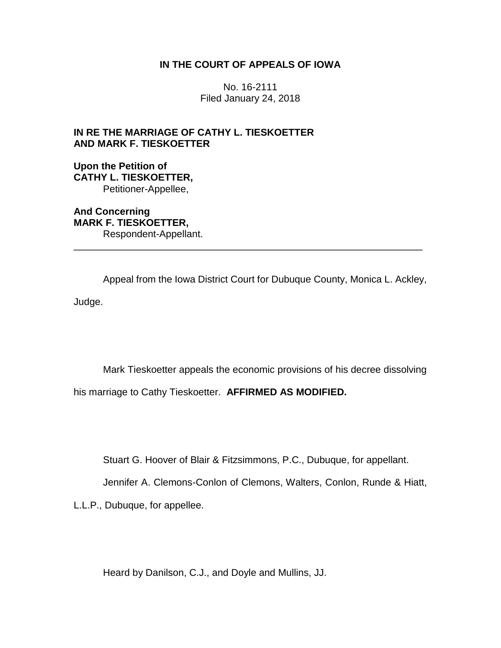## **IN THE COURT OF APPEALS OF IOWA**

No. 16-2111 Filed January 24, 2018

# **IN RE THE MARRIAGE OF CATHY L. TIESKOETTER AND MARK F. TIESKOETTER**

**Upon the Petition of CATHY L. TIESKOETTER,** Petitioner-Appellee,

**And Concerning MARK F. TIESKOETTER,** Respondent-Appellant. \_\_\_\_\_\_\_\_\_\_\_\_\_\_\_\_\_\_\_\_\_\_\_\_\_\_\_\_\_\_\_\_\_\_\_\_\_\_\_\_\_\_\_\_\_\_\_\_\_\_\_\_\_\_\_\_\_\_\_\_\_\_\_\_

Appeal from the Iowa District Court for Dubuque County, Monica L. Ackley, Judge.

Mark Tieskoetter appeals the economic provisions of his decree dissolving his marriage to Cathy Tieskoetter. **AFFIRMED AS MODIFIED.**

Stuart G. Hoover of Blair & Fitzsimmons, P.C., Dubuque, for appellant.

Jennifer A. Clemons-Conlon of Clemons, Walters, Conlon, Runde & Hiatt,

L.L.P., Dubuque, for appellee.

Heard by Danilson, C.J., and Doyle and Mullins, JJ.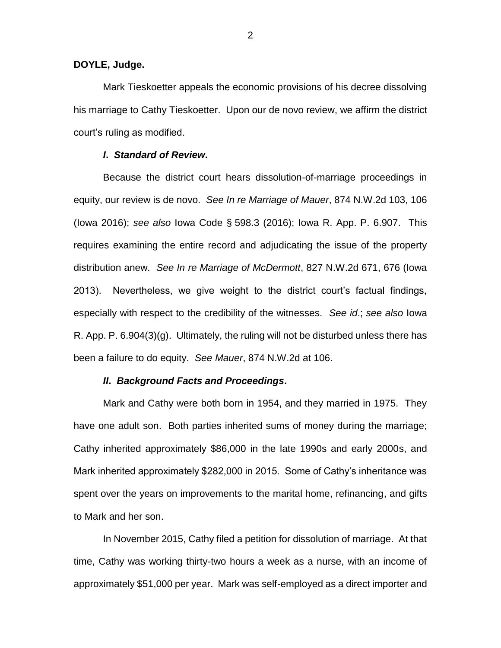## **DOYLE, Judge.**

Mark Tieskoetter appeals the economic provisions of his decree dissolving his marriage to Cathy Tieskoetter. Upon our de novo review, we affirm the district court's ruling as modified.

## *I***.** *Standard of Review***.**

Because the district court hears dissolution-of-marriage proceedings in equity, our review is de novo. *See In re Marriage of Mauer*, 874 N.W.2d 103, 106 (Iowa 2016); *see also* Iowa Code § 598.3 (2016); Iowa R. App. P. 6.907. This requires examining the entire record and adjudicating the issue of the property distribution anew. *See In re Marriage of McDermott*, 827 N.W.2d 671, 676 (Iowa 2013). Nevertheless, we give weight to the district court's factual findings, especially with respect to the credibility of the witnesses. *See id*.; *see also* Iowa R. App. P. 6.904(3)(g). Ultimately, the ruling will not be disturbed unless there has been a failure to do equity. *See Mauer*, 874 N.W.2d at 106.

## *II***.** *Background Facts and Proceedings***.**

Mark and Cathy were both born in 1954, and they married in 1975. They have one adult son. Both parties inherited sums of money during the marriage; Cathy inherited approximately \$86,000 in the late 1990s and early 2000s, and Mark inherited approximately \$282,000 in 2015. Some of Cathy's inheritance was spent over the years on improvements to the marital home, refinancing, and gifts to Mark and her son.

In November 2015, Cathy filed a petition for dissolution of marriage. At that time, Cathy was working thirty-two hours a week as a nurse, with an income of approximately \$51,000 per year. Mark was self-employed as a direct importer and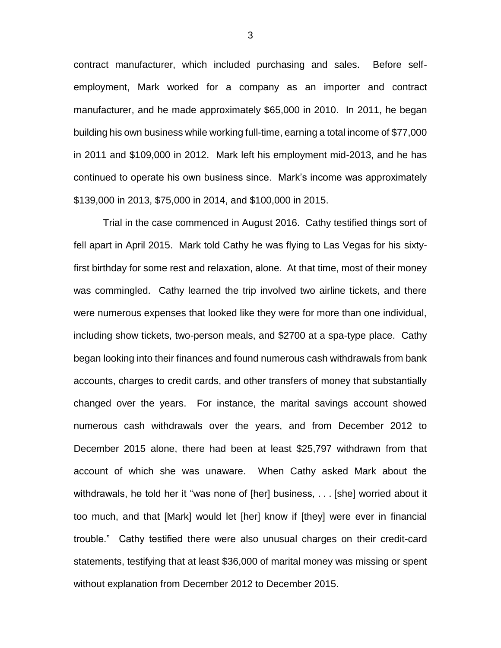contract manufacturer, which included purchasing and sales. Before selfemployment, Mark worked for a company as an importer and contract manufacturer, and he made approximately \$65,000 in 2010. In 2011, he began building his own business while working full-time, earning a total income of \$77,000 in 2011 and \$109,000 in 2012. Mark left his employment mid-2013, and he has continued to operate his own business since. Mark's income was approximately \$139,000 in 2013, \$75,000 in 2014, and \$100,000 in 2015.

Trial in the case commenced in August 2016. Cathy testified things sort of fell apart in April 2015. Mark told Cathy he was flying to Las Vegas for his sixtyfirst birthday for some rest and relaxation, alone. At that time, most of their money was commingled. Cathy learned the trip involved two airline tickets, and there were numerous expenses that looked like they were for more than one individual, including show tickets, two-person meals, and \$2700 at a spa-type place. Cathy began looking into their finances and found numerous cash withdrawals from bank accounts, charges to credit cards, and other transfers of money that substantially changed over the years. For instance, the marital savings account showed numerous cash withdrawals over the years, and from December 2012 to December 2015 alone, there had been at least \$25,797 withdrawn from that account of which she was unaware. When Cathy asked Mark about the withdrawals, he told her it "was none of [her] business, . . . [she] worried about it too much, and that [Mark] would let [her] know if [they] were ever in financial trouble." Cathy testified there were also unusual charges on their credit-card statements, testifying that at least \$36,000 of marital money was missing or spent without explanation from December 2012 to December 2015.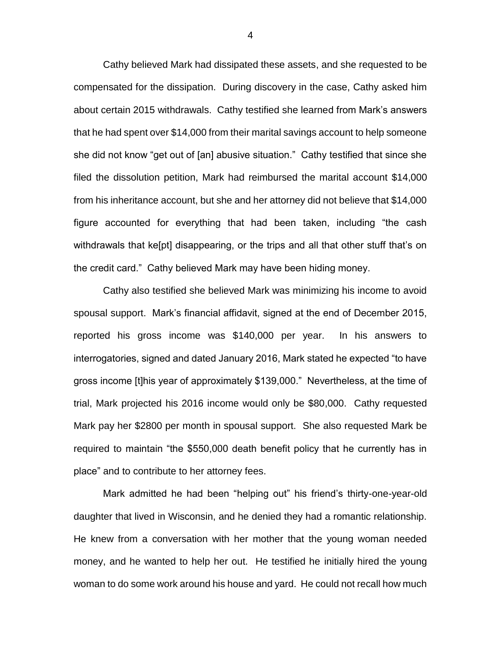Cathy believed Mark had dissipated these assets, and she requested to be compensated for the dissipation. During discovery in the case, Cathy asked him about certain 2015 withdrawals. Cathy testified she learned from Mark's answers that he had spent over \$14,000 from their marital savings account to help someone she did not know "get out of [an] abusive situation." Cathy testified that since she filed the dissolution petition, Mark had reimbursed the marital account \$14,000 from his inheritance account, but she and her attorney did not believe that \$14,000 figure accounted for everything that had been taken, including "the cash withdrawals that ke[pt] disappearing, or the trips and all that other stuff that's on the credit card." Cathy believed Mark may have been hiding money.

Cathy also testified she believed Mark was minimizing his income to avoid spousal support. Mark's financial affidavit, signed at the end of December 2015, reported his gross income was \$140,000 per year. In his answers to interrogatories, signed and dated January 2016, Mark stated he expected "to have gross income [t]his year of approximately \$139,000." Nevertheless, at the time of trial, Mark projected his 2016 income would only be \$80,000. Cathy requested Mark pay her \$2800 per month in spousal support. She also requested Mark be required to maintain "the \$550,000 death benefit policy that he currently has in place" and to contribute to her attorney fees.

Mark admitted he had been "helping out" his friend's thirty-one-year-old daughter that lived in Wisconsin, and he denied they had a romantic relationship. He knew from a conversation with her mother that the young woman needed money, and he wanted to help her out. He testified he initially hired the young woman to do some work around his house and yard. He could not recall how much

4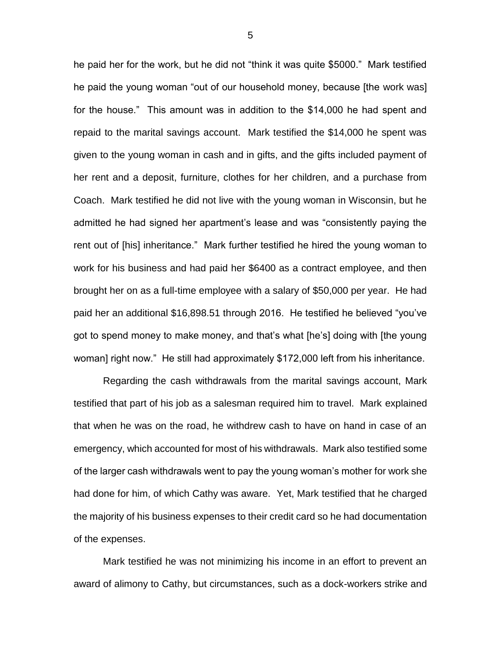he paid her for the work, but he did not "think it was quite \$5000." Mark testified he paid the young woman "out of our household money, because [the work was] for the house." This amount was in addition to the \$14,000 he had spent and repaid to the marital savings account. Mark testified the \$14,000 he spent was given to the young woman in cash and in gifts, and the gifts included payment of her rent and a deposit, furniture, clothes for her children, and a purchase from Coach. Mark testified he did not live with the young woman in Wisconsin, but he admitted he had signed her apartment's lease and was "consistently paying the rent out of [his] inheritance." Mark further testified he hired the young woman to work for his business and had paid her \$6400 as a contract employee, and then brought her on as a full-time employee with a salary of \$50,000 per year. He had paid her an additional \$16,898.51 through 2016. He testified he believed "you've got to spend money to make money, and that's what [he's] doing with [the young woman] right now." He still had approximately \$172,000 left from his inheritance.

Regarding the cash withdrawals from the marital savings account, Mark testified that part of his job as a salesman required him to travel. Mark explained that when he was on the road, he withdrew cash to have on hand in case of an emergency, which accounted for most of his withdrawals. Mark also testified some of the larger cash withdrawals went to pay the young woman's mother for work she had done for him, of which Cathy was aware. Yet, Mark testified that he charged the majority of his business expenses to their credit card so he had documentation of the expenses.

Mark testified he was not minimizing his income in an effort to prevent an award of alimony to Cathy, but circumstances, such as a dock-workers strike and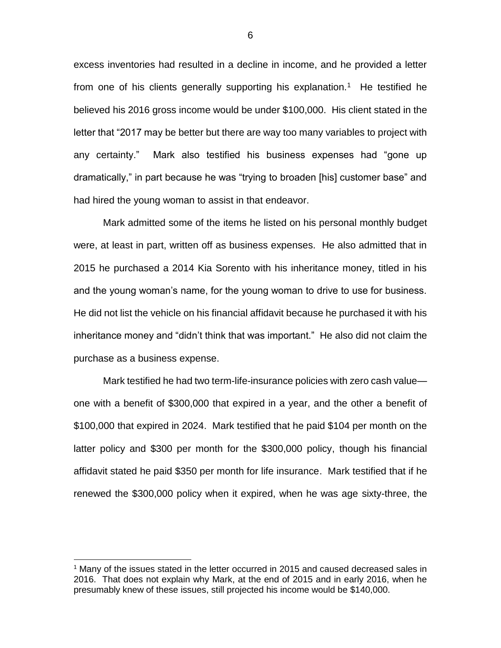excess inventories had resulted in a decline in income, and he provided a letter from one of his clients generally supporting his explanation.<sup>1</sup> He testified he believed his 2016 gross income would be under \$100,000. His client stated in the letter that "2017 may be better but there are way too many variables to project with any certainty." Mark also testified his business expenses had "gone up dramatically," in part because he was "trying to broaden [his] customer base" and had hired the young woman to assist in that endeavor.

Mark admitted some of the items he listed on his personal monthly budget were, at least in part, written off as business expenses. He also admitted that in 2015 he purchased a 2014 Kia Sorento with his inheritance money, titled in his and the young woman's name, for the young woman to drive to use for business. He did not list the vehicle on his financial affidavit because he purchased it with his inheritance money and "didn't think that was important." He also did not claim the purchase as a business expense.

Mark testified he had two term-life-insurance policies with zero cash value one with a benefit of \$300,000 that expired in a year, and the other a benefit of \$100,000 that expired in 2024. Mark testified that he paid \$104 per month on the latter policy and \$300 per month for the \$300,000 policy, though his financial affidavit stated he paid \$350 per month for life insurance. Mark testified that if he renewed the \$300,000 policy when it expired, when he was age sixty-three, the

 $\overline{a}$ 

<sup>&</sup>lt;sup>1</sup> Many of the issues stated in the letter occurred in 2015 and caused decreased sales in 2016. That does not explain why Mark, at the end of 2015 and in early 2016, when he presumably knew of these issues, still projected his income would be \$140,000.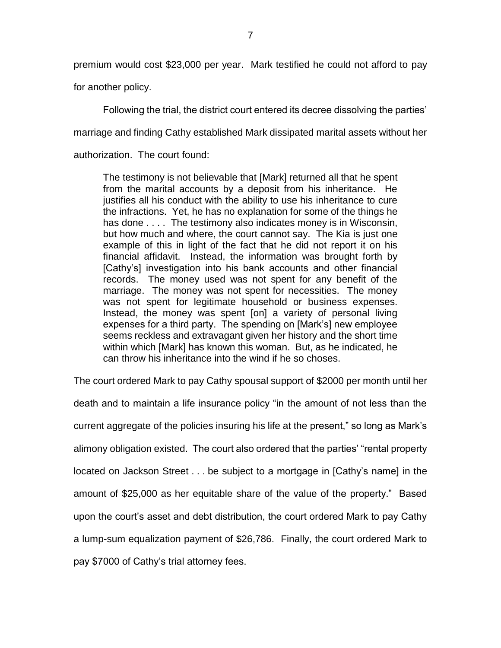premium would cost \$23,000 per year. Mark testified he could not afford to pay

for another policy.

Following the trial, the district court entered its decree dissolving the parties' marriage and finding Cathy established Mark dissipated marital assets without her authorization. The court found:

The testimony is not believable that [Mark] returned all that he spent from the marital accounts by a deposit from his inheritance. He justifies all his conduct with the ability to use his inheritance to cure the infractions. Yet, he has no explanation for some of the things he has done .... The testimony also indicates money is in Wisconsin, but how much and where, the court cannot say. The Kia is just one example of this in light of the fact that he did not report it on his financial affidavit. Instead, the information was brought forth by [Cathy's] investigation into his bank accounts and other financial records. The money used was not spent for any benefit of the marriage. The money was not spent for necessities. The money was not spent for legitimate household or business expenses. Instead, the money was spent [on] a variety of personal living expenses for a third party. The spending on [Mark's] new employee seems reckless and extravagant given her history and the short time within which [Mark] has known this woman. But, as he indicated, he can throw his inheritance into the wind if he so choses.

The court ordered Mark to pay Cathy spousal support of \$2000 per month until her death and to maintain a life insurance policy "in the amount of not less than the current aggregate of the policies insuring his life at the present," so long as Mark's alimony obligation existed. The court also ordered that the parties' "rental property located on Jackson Street . . . be subject to a mortgage in [Cathy's name] in the amount of \$25,000 as her equitable share of the value of the property." Based upon the court's asset and debt distribution, the court ordered Mark to pay Cathy a lump-sum equalization payment of \$26,786. Finally, the court ordered Mark to pay \$7000 of Cathy's trial attorney fees.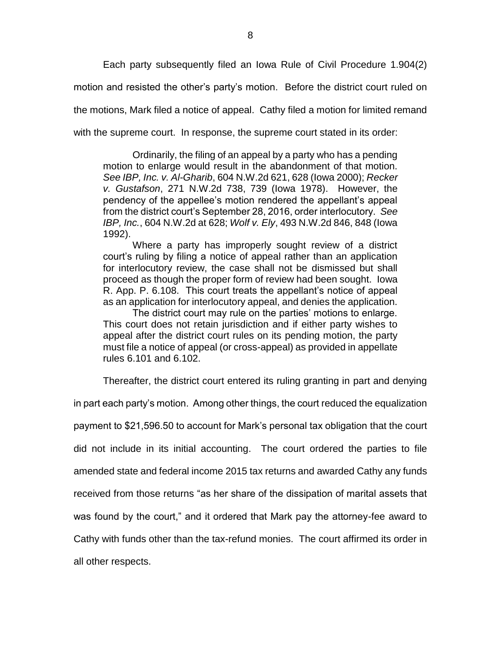Each party subsequently filed an Iowa Rule of Civil Procedure 1.904(2)

motion and resisted the other's party's motion. Before the district court ruled on

the motions, Mark filed a notice of appeal. Cathy filed a motion for limited remand

with the supreme court. In response, the supreme court stated in its order:

Ordinarily, the filing of an appeal by a party who has a pending motion to enlarge would result in the abandonment of that motion. *See IBP, Inc. v. Al-Gharib*, 604 N.W.2d 621, 628 (Iowa 2000); *Recker v. Gustafson*, 271 N.W.2d 738, 739 (Iowa 1978). However, the pendency of the appellee's motion rendered the appellant's appeal from the district court's September 28, 2016, order interlocutory. *See IBP, Inc.*, 604 N.W.2d at 628; *Wolf v. Ely*, 493 N.W.2d 846, 848 (Iowa 1992).

Where a party has improperly sought review of a district court's ruling by filing a notice of appeal rather than an application for interlocutory review, the case shall not be dismissed but shall proceed as though the proper form of review had been sought. Iowa R. App. P. 6.108. This court treats the appellant's notice of appeal as an application for interlocutory appeal, and denies the application.

The district court may rule on the parties' motions to enlarge. This court does not retain jurisdiction and if either party wishes to appeal after the district court rules on its pending motion, the party must file a notice of appeal (or cross-appeal) as provided in appellate rules 6.101 and 6.102.

Thereafter, the district court entered its ruling granting in part and denying

in part each party's motion. Among other things, the court reduced the equalization payment to \$21,596.50 to account for Mark's personal tax obligation that the court did not include in its initial accounting. The court ordered the parties to file amended state and federal income 2015 tax returns and awarded Cathy any funds received from those returns "as her share of the dissipation of marital assets that was found by the court," and it ordered that Mark pay the attorney-fee award to Cathy with funds other than the tax-refund monies. The court affirmed its order in all other respects.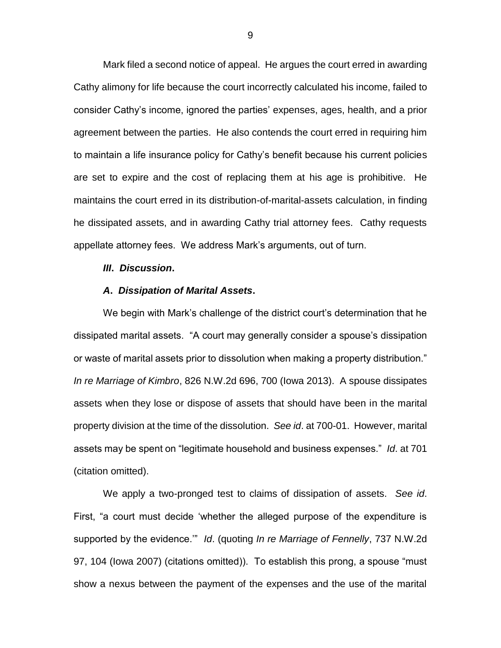Mark filed a second notice of appeal. He argues the court erred in awarding Cathy alimony for life because the court incorrectly calculated his income, failed to consider Cathy's income, ignored the parties' expenses, ages, health, and a prior agreement between the parties. He also contends the court erred in requiring him to maintain a life insurance policy for Cathy's benefit because his current policies are set to expire and the cost of replacing them at his age is prohibitive. He maintains the court erred in its distribution-of-marital-assets calculation, in finding he dissipated assets, and in awarding Cathy trial attorney fees. Cathy requests appellate attorney fees. We address Mark's arguments, out of turn.

#### *III***.** *Discussion***.**

#### *A***.** *Dissipation of Marital Assets***.**

We begin with Mark's challenge of the district court's determination that he dissipated marital assets. "A court may generally consider a spouse's dissipation or waste of marital assets prior to dissolution when making a property distribution." *In re Marriage of Kimbro*, 826 N.W.2d 696, 700 (Iowa 2013). A spouse dissipates assets when they lose or dispose of assets that should have been in the marital property division at the time of the dissolution. *See id*. at 700-01. However, marital assets may be spent on "legitimate household and business expenses." *Id*. at 701 (citation omitted).

We apply a two-pronged test to claims of dissipation of assets. *See id*. First, "a court must decide 'whether the alleged purpose of the expenditure is supported by the evidence.'" *Id*. (quoting *In re Marriage of Fennelly*, 737 N.W.2d 97, 104 (Iowa 2007) (citations omitted)). To establish this prong, a spouse "must show a nexus between the payment of the expenses and the use of the marital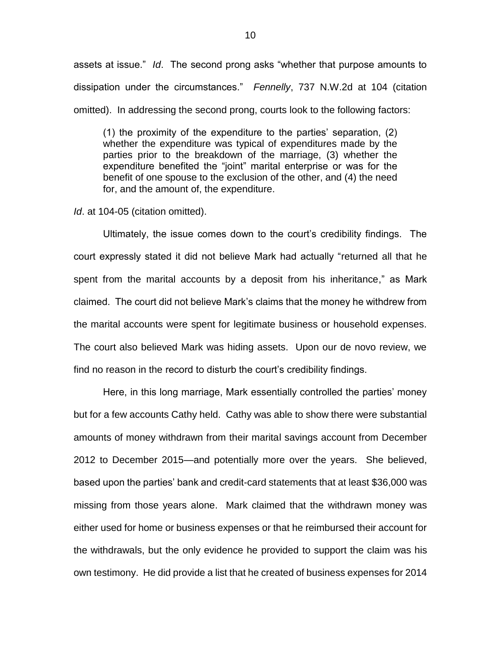assets at issue." *Id*. The second prong asks "whether that purpose amounts to dissipation under the circumstances." *Fennelly*, 737 N.W.2d at 104 (citation omitted). In addressing the second prong, courts look to the following factors:

(1) the proximity of the expenditure to the parties' separation, (2) whether the expenditure was typical of expenditures made by the parties prior to the breakdown of the marriage, (3) whether the expenditure benefited the "joint" marital enterprise or was for the benefit of one spouse to the exclusion of the other, and (4) the need for, and the amount of, the expenditure.

*Id*. at 104-05 (citation omitted).

Ultimately, the issue comes down to the court's credibility findings. The court expressly stated it did not believe Mark had actually "returned all that he spent from the marital accounts by a deposit from his inheritance," as Mark claimed. The court did not believe Mark's claims that the money he withdrew from the marital accounts were spent for legitimate business or household expenses. The court also believed Mark was hiding assets. Upon our de novo review, we find no reason in the record to disturb the court's credibility findings.

Here, in this long marriage, Mark essentially controlled the parties' money but for a few accounts Cathy held. Cathy was able to show there were substantial amounts of money withdrawn from their marital savings account from December 2012 to December 2015—and potentially more over the years. She believed, based upon the parties' bank and credit-card statements that at least \$36,000 was missing from those years alone. Mark claimed that the withdrawn money was either used for home or business expenses or that he reimbursed their account for the withdrawals, but the only evidence he provided to support the claim was his own testimony. He did provide a list that he created of business expenses for 2014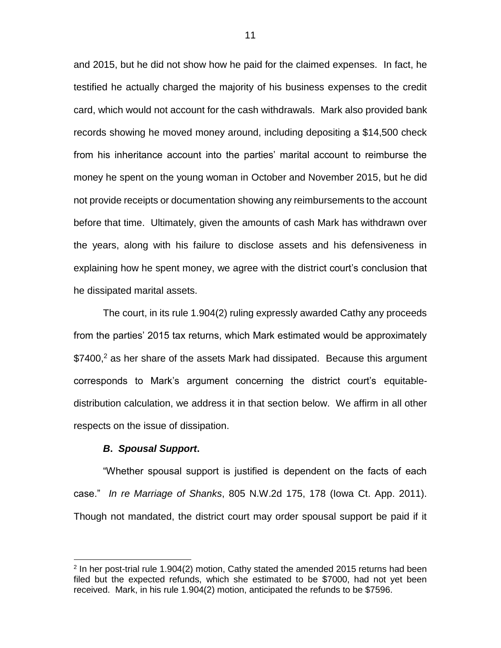and 2015, but he did not show how he paid for the claimed expenses. In fact, he testified he actually charged the majority of his business expenses to the credit card, which would not account for the cash withdrawals. Mark also provided bank records showing he moved money around, including depositing a \$14,500 check from his inheritance account into the parties' marital account to reimburse the money he spent on the young woman in October and November 2015, but he did not provide receipts or documentation showing any reimbursements to the account before that time. Ultimately, given the amounts of cash Mark has withdrawn over the years, along with his failure to disclose assets and his defensiveness in explaining how he spent money, we agree with the district court's conclusion that he dissipated marital assets.

The court, in its rule 1.904(2) ruling expressly awarded Cathy any proceeds from the parties' 2015 tax returns, which Mark estimated would be approximately  $$7400<sup>2</sup>$  as her share of the assets Mark had dissipated. Because this argument corresponds to Mark's argument concerning the district court's equitabledistribution calculation, we address it in that section below. We affirm in all other respects on the issue of dissipation.

#### *B***.** *Spousal Support***.**

 $\overline{a}$ 

"Whether spousal support is justified is dependent on the facts of each case." *In re Marriage of Shanks*, 805 N.W.2d 175, 178 (Iowa Ct. App. 2011). Though not mandated, the district court may order spousal support be paid if it

 $2$  In her post-trial rule 1.904(2) motion, Cathy stated the amended 2015 returns had been filed but the expected refunds, which she estimated to be \$7000, had not yet been received. Mark, in his rule 1.904(2) motion, anticipated the refunds to be \$7596.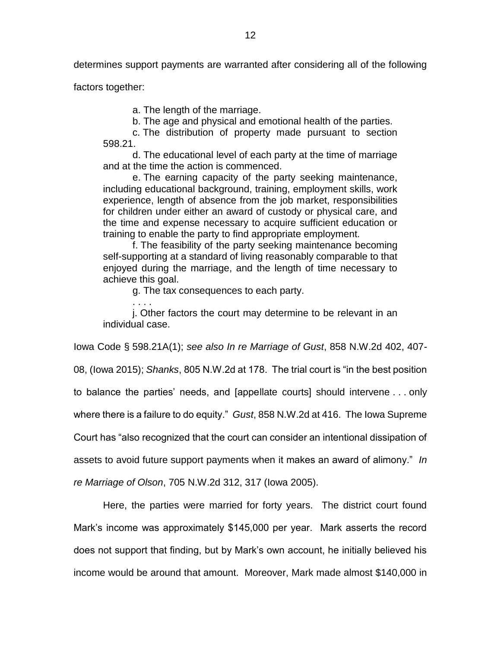determines support payments are warranted after considering all of the following

factors together:

. . . .

a. The length of the marriage.

b. The age and physical and emotional health of the parties.

c. The distribution of property made pursuant to section 598.21.

d. The educational level of each party at the time of marriage and at the time the action is commenced.

e. The earning capacity of the party seeking maintenance, including educational background, training, employment skills, work experience, length of absence from the job market, responsibilities for children under either an award of custody or physical care, and the time and expense necessary to acquire sufficient education or training to enable the party to find appropriate employment.

f. The feasibility of the party seeking maintenance becoming self-supporting at a standard of living reasonably comparable to that enjoyed during the marriage, and the length of time necessary to achieve this goal.

g. The tax consequences to each party.

j. Other factors the court may determine to be relevant in an individual case.

Iowa Code § 598.21A(1); *see also In re Marriage of Gust*, 858 N.W.2d 402, 407-

08, (Iowa 2015); *Shanks*, 805 N.W.2d at 178. The trial court is "in the best position

to balance the parties' needs, and [appellate courts] should intervene . . . only

where there is a failure to do equity." *Gust*, 858 N.W.2d at 416. The Iowa Supreme

Court has "also recognized that the court can consider an intentional dissipation of

assets to avoid future support payments when it makes an award of alimony." *In* 

*re Marriage of Olson*, 705 N.W.2d 312, 317 (Iowa 2005).

Here, the parties were married for forty years. The district court found Mark's income was approximately \$145,000 per year. Mark asserts the record does not support that finding, but by Mark's own account, he initially believed his income would be around that amount. Moreover, Mark made almost \$140,000 in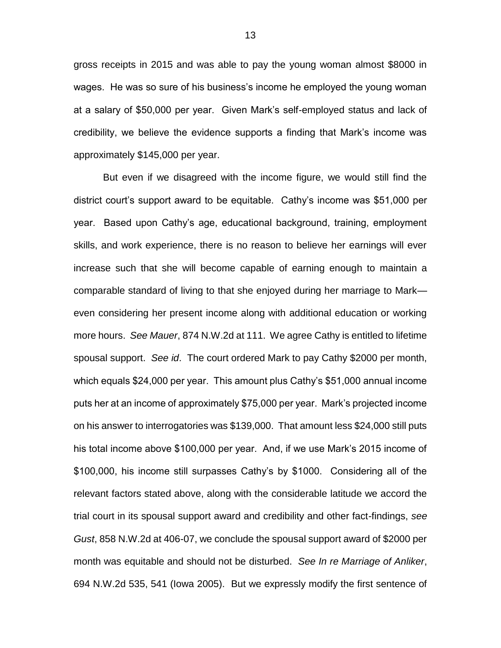gross receipts in 2015 and was able to pay the young woman almost \$8000 in wages. He was so sure of his business's income he employed the young woman at a salary of \$50,000 per year. Given Mark's self-employed status and lack of credibility, we believe the evidence supports a finding that Mark's income was approximately \$145,000 per year.

But even if we disagreed with the income figure, we would still find the district court's support award to be equitable. Cathy's income was \$51,000 per year. Based upon Cathy's age, educational background, training, employment skills, and work experience, there is no reason to believe her earnings will ever increase such that she will become capable of earning enough to maintain a comparable standard of living to that she enjoyed during her marriage to Mark even considering her present income along with additional education or working more hours. *See Mauer*, 874 N.W.2d at 111. We agree Cathy is entitled to lifetime spousal support. *See id*. The court ordered Mark to pay Cathy \$2000 per month, which equals \$24,000 per year. This amount plus Cathy's \$51,000 annual income puts her at an income of approximately \$75,000 per year. Mark's projected income on his answer to interrogatories was \$139,000. That amount less \$24,000 still puts his total income above \$100,000 per year. And, if we use Mark's 2015 income of \$100,000, his income still surpasses Cathy's by \$1000. Considering all of the relevant factors stated above, along with the considerable latitude we accord the trial court in its spousal support award and credibility and other fact-findings, *see Gust*, 858 N.W.2d at 406-07, we conclude the spousal support award of \$2000 per month was equitable and should not be disturbed. *See In re Marriage of Anliker*, 694 N.W.2d 535, 541 (Iowa 2005). But we expressly modify the first sentence of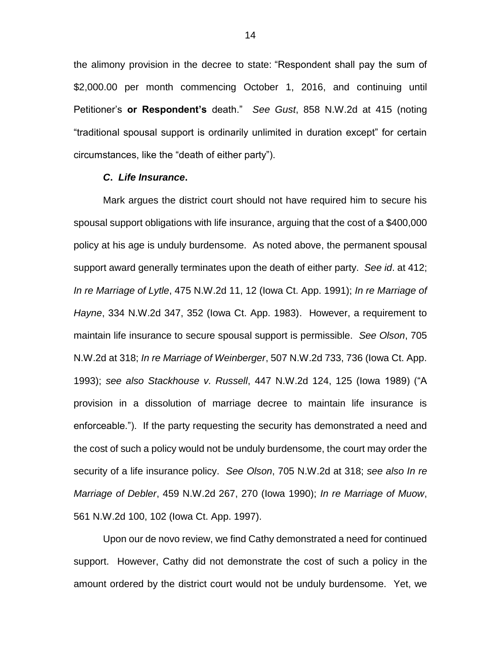the alimony provision in the decree to state: "Respondent shall pay the sum of \$2,000.00 per month commencing October 1, 2016, and continuing until Petitioner's **or Respondent's** death." *See Gust*, 858 N.W.2d at 415 (noting "traditional spousal support is ordinarily unlimited in duration except" for certain circumstances, like the "death of either party").

### *C***.** *Life Insurance***.**

Mark argues the district court should not have required him to secure his spousal support obligations with life insurance, arguing that the cost of a \$400,000 policy at his age is unduly burdensome. As noted above, the permanent spousal support award generally terminates upon the death of either party. *See id*. at 412; *In re Marriage of Lytle*, 475 N.W.2d 11, 12 (Iowa Ct. App. 1991); *In re Marriage of Hayne*, 334 N.W.2d 347, 352 (Iowa Ct. App. 1983). However, a requirement to maintain life insurance to secure spousal support is permissible. *See Olson*, 705 N.W.2d at 318; *In re Marriage of Weinberger*, 507 N.W.2d 733, 736 (Iowa Ct. App. 1993); *see also Stackhouse v. Russell*, 447 N.W.2d 124, 125 (Iowa 1989) ("A provision in a dissolution of marriage decree to maintain life insurance is enforceable."). If the party requesting the security has demonstrated a need and the cost of such a policy would not be unduly burdensome, the court may order the security of a life insurance policy. *See Olson*, 705 N.W.2d at 318; *see also In re Marriage of Debler*, 459 N.W.2d 267, 270 (Iowa 1990); *In re Marriage of Muow*, 561 N.W.2d 100, 102 (Iowa Ct. App. 1997).

Upon our de novo review, we find Cathy demonstrated a need for continued support. However, Cathy did not demonstrate the cost of such a policy in the amount ordered by the district court would not be unduly burdensome. Yet, we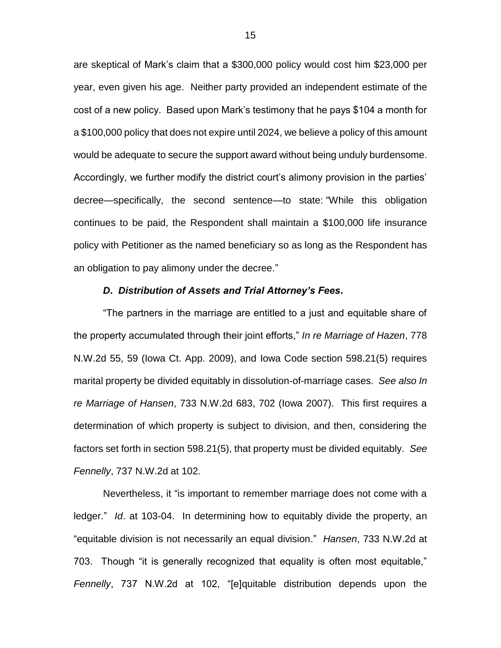are skeptical of Mark's claim that a \$300,000 policy would cost him \$23,000 per year, even given his age. Neither party provided an independent estimate of the cost of a new policy. Based upon Mark's testimony that he pays \$104 a month for a \$100,000 policy that does not expire until 2024, we believe a policy of this amount would be adequate to secure the support award without being unduly burdensome. Accordingly, we further modify the district court's alimony provision in the parties' decree—specifically, the second sentence—to state: "While this obligation continues to be paid, the Respondent shall maintain a \$100,000 life insurance policy with Petitioner as the named beneficiary so as long as the Respondent has an obligation to pay alimony under the decree."

### *D***.** *Distribution of Assets and Trial Attorney's Fees***.**

"The partners in the marriage are entitled to a just and equitable share of the property accumulated through their joint efforts," *In re Marriage of Hazen*, 778 N.W.2d 55, 59 (Iowa Ct. App. 2009), and Iowa Code section 598.21(5) requires marital property be divided equitably in dissolution-of-marriage cases. *See also In re Marriage of Hansen*, 733 N.W.2d 683, 702 (Iowa 2007). This first requires a determination of which property is subject to division, and then, considering the factors set forth in section 598.21(5), that property must be divided equitably. *See Fennelly*, 737 N.W.2d at 102.

Nevertheless, it "is important to remember marriage does not come with a ledger." *Id*. at 103-04. In determining how to equitably divide the property, an "equitable division is not necessarily an equal division." *Hansen*, 733 N.W.2d at 703. Though "it is generally recognized that equality is often most equitable," *Fennelly*, 737 N.W.2d at 102, "[e]quitable distribution depends upon the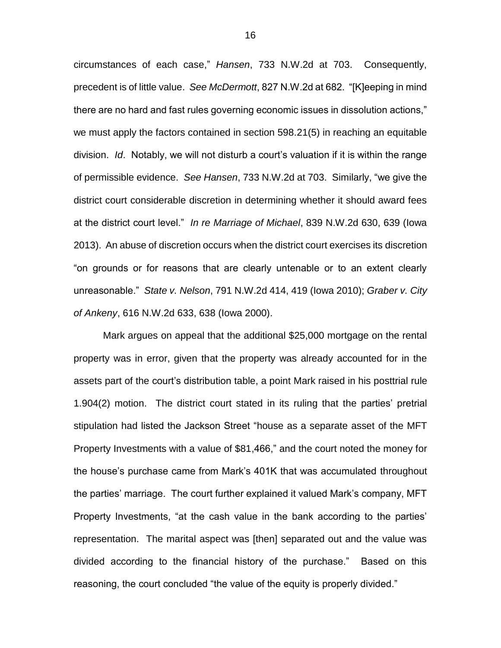circumstances of each case," *Hansen*, 733 N.W.2d at 703. Consequently, precedent is of little value. *See McDermott*, 827 N.W.2d at 682. "[K]eeping in mind there are no hard and fast rules governing economic issues in dissolution actions," we must apply the factors contained in section 598.21(5) in reaching an equitable division. *Id*. Notably, we will not disturb a court's valuation if it is within the range of permissible evidence. *See Hansen*, 733 N.W.2d at 703. Similarly, "we give the district court considerable discretion in determining whether it should award fees at the district court level." *In re Marriage of Michael*, 839 N.W.2d 630, 639 (Iowa 2013). An abuse of discretion occurs when the district court exercises its discretion "on grounds or for reasons that are clearly untenable or to an extent clearly unreasonable." *State v. Nelson*, 791 N.W.2d 414, 419 (Iowa 2010); *Graber v. City of Ankeny*, 616 N.W.2d 633, 638 (Iowa 2000).

Mark argues on appeal that the additional \$25,000 mortgage on the rental property was in error, given that the property was already accounted for in the assets part of the court's distribution table, a point Mark raised in his posttrial rule 1.904(2) motion. The district court stated in its ruling that the parties' pretrial stipulation had listed the Jackson Street "house as a separate asset of the MFT Property Investments with a value of \$81,466," and the court noted the money for the house's purchase came from Mark's 401K that was accumulated throughout the parties' marriage. The court further explained it valued Mark's company, MFT Property Investments, "at the cash value in the bank according to the parties' representation. The marital aspect was [then] separated out and the value was divided according to the financial history of the purchase." Based on this reasoning, the court concluded "the value of the equity is properly divided."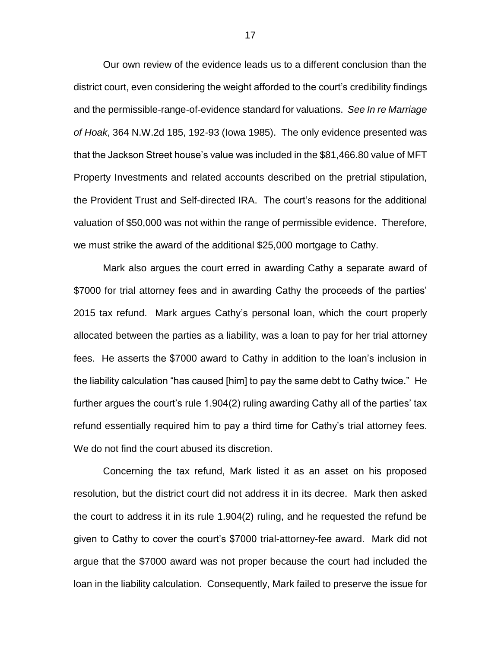Our own review of the evidence leads us to a different conclusion than the district court, even considering the weight afforded to the court's credibility findings and the permissible-range-of-evidence standard for valuations. *See In re Marriage of Hoak*, 364 N.W.2d 185, 192-93 (Iowa 1985). The only evidence presented was that the Jackson Street house's value was included in the \$81,466.80 value of MFT Property Investments and related accounts described on the pretrial stipulation, the Provident Trust and Self-directed IRA. The court's reasons for the additional valuation of \$50,000 was not within the range of permissible evidence. Therefore, we must strike the award of the additional \$25,000 mortgage to Cathy.

Mark also argues the court erred in awarding Cathy a separate award of \$7000 for trial attorney fees and in awarding Cathy the proceeds of the parties' 2015 tax refund. Mark argues Cathy's personal loan, which the court properly allocated between the parties as a liability, was a loan to pay for her trial attorney fees. He asserts the \$7000 award to Cathy in addition to the loan's inclusion in the liability calculation "has caused [him] to pay the same debt to Cathy twice." He further argues the court's rule 1.904(2) ruling awarding Cathy all of the parties' tax refund essentially required him to pay a third time for Cathy's trial attorney fees. We do not find the court abused its discretion.

Concerning the tax refund, Mark listed it as an asset on his proposed resolution, but the district court did not address it in its decree. Mark then asked the court to address it in its rule 1.904(2) ruling, and he requested the refund be given to Cathy to cover the court's \$7000 trial-attorney-fee award. Mark did not argue that the \$7000 award was not proper because the court had included the loan in the liability calculation. Consequently, Mark failed to preserve the issue for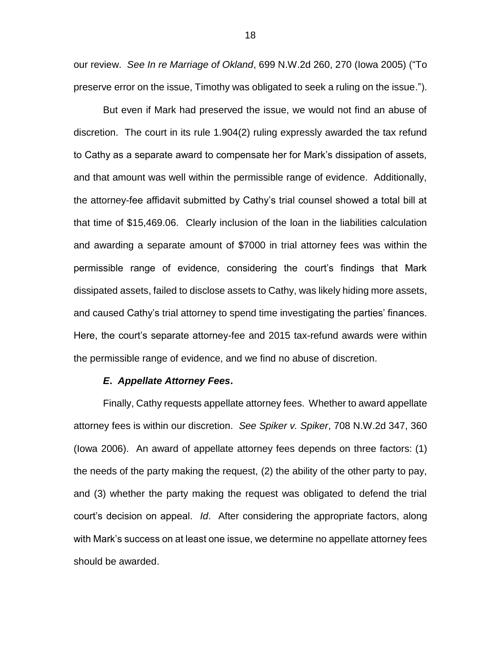our review. *See In re Marriage of Okland*, 699 N.W.2d 260, 270 (Iowa 2005) ("To preserve error on the issue, Timothy was obligated to seek a ruling on the issue.").

But even if Mark had preserved the issue, we would not find an abuse of discretion. The court in its rule 1.904(2) ruling expressly awarded the tax refund to Cathy as a separate award to compensate her for Mark's dissipation of assets, and that amount was well within the permissible range of evidence. Additionally, the attorney-fee affidavit submitted by Cathy's trial counsel showed a total bill at that time of \$15,469.06. Clearly inclusion of the loan in the liabilities calculation and awarding a separate amount of \$7000 in trial attorney fees was within the permissible range of evidence, considering the court's findings that Mark dissipated assets, failed to disclose assets to Cathy, was likely hiding more assets, and caused Cathy's trial attorney to spend time investigating the parties' finances. Here, the court's separate attorney-fee and 2015 tax-refund awards were within the permissible range of evidence, and we find no abuse of discretion.

## *E***.** *Appellate Attorney Fees***.**

Finally, Cathy requests appellate attorney fees. Whether to award appellate attorney fees is within our discretion. *See Spiker v. Spiker*, 708 N.W.2d 347, 360 (Iowa 2006). An award of appellate attorney fees depends on three factors: (1) the needs of the party making the request, (2) the ability of the other party to pay, and (3) whether the party making the request was obligated to defend the trial court's decision on appeal. *Id*. After considering the appropriate factors, along with Mark's success on at least one issue, we determine no appellate attorney fees should be awarded.